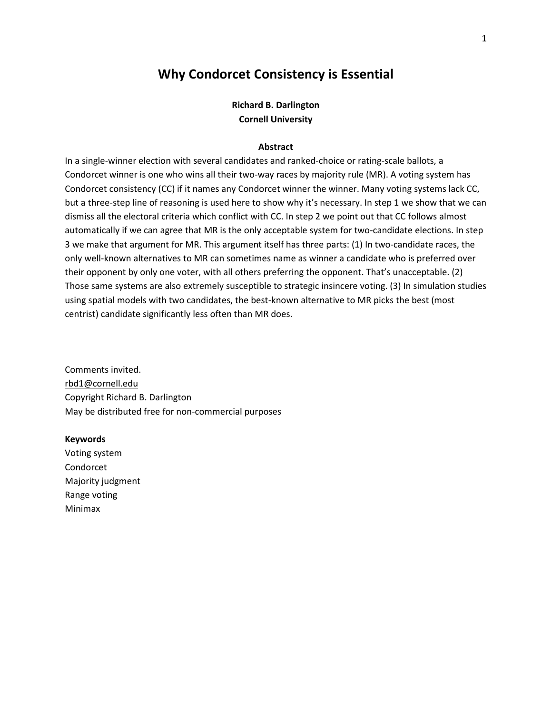# **Why Condorcet Consistency is Essential**

## **Richard B. Darlington Cornell University**

### **Abstract**

In a single-winner election with several candidates and ranked-choice or rating-scale ballots, a Condorcet winner is one who wins all their two-way races by majority rule (MR). A voting system has Condorcet consistency (CC) if it names any Condorcet winner the winner. Many voting systems lack CC, but a three-step line of reasoning is used here to show why it's necessary. In step 1 we show that we can dismiss all the electoral criteria which conflict with CC. In step 2 we point out that CC follows almost automatically if we can agree that MR is the only acceptable system for two-candidate elections. In step 3 we make that argument for MR. This argument itself has three parts: (1) In two-candidate races, the only well-known alternatives to MR can sometimes name as winner a candidate who is preferred over their opponent by only one voter, with all others preferring the opponent. That's unacceptable. (2) Those same systems are also extremely susceptible to strategic insincere voting. (3) In simulation studies using spatial models with two candidates, the best-known alternative to MR picks the best (most centrist) candidate significantly less often than MR does.

Comments invited. rbd1@cornell.edu Copyright Richard B. Darlington May be distributed free for non-commercial purposes

#### **Keywords**

Voting system Condorcet Majority judgment Range voting Minimax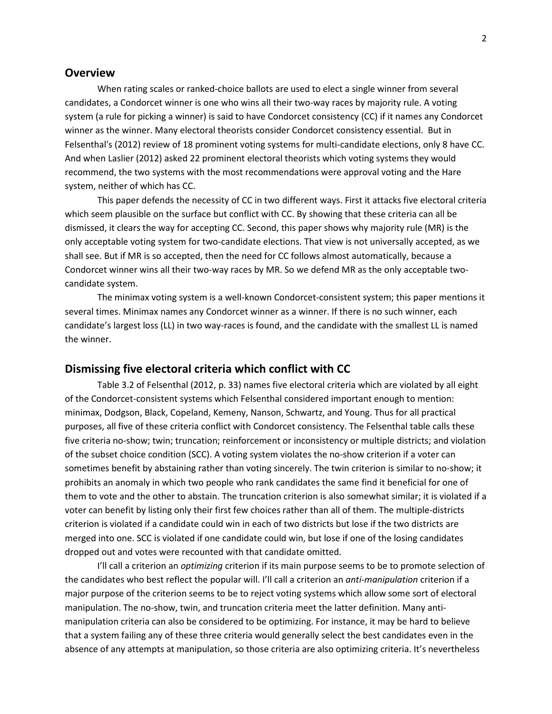## **Overview**

When rating scales or ranked-choice ballots are used to elect a single winner from several candidates, a Condorcet winner is one who wins all their two-way races by majority rule. A voting system (a rule for picking a winner) is said to have Condorcet consistency (CC) if it names any Condorcet winner as the winner. Many electoral theorists consider Condorcet consistency essential. But in Felsenthal's (2012) review of 18 prominent voting systems for multi-candidate elections, only 8 have CC. And when Laslier (2012) asked 22 prominent electoral theorists which voting systems they would recommend, the two systems with the most recommendations were approval voting and the Hare system, neither of which has CC.

This paper defends the necessity of CC in two different ways. First it attacks five electoral criteria which seem plausible on the surface but conflict with CC. By showing that these criteria can all be dismissed, it clears the way for accepting CC. Second, this paper shows why majority rule (MR) is the only acceptable voting system for two-candidate elections. That view is not universally accepted, as we shall see. But if MR is so accepted, then the need for CC follows almost automatically, because a Condorcet winner wins all their two-way races by MR. So we defend MR as the only acceptable twocandidate system.

The minimax voting system is a well-known Condorcet-consistent system; this paper mentions it several times. Minimax names any Condorcet winner as a winner. If there is no such winner, each candidate's largest loss (LL) in two way-races is found, and the candidate with the smallest LL is named the winner.

## **Dismissing five electoral criteria which conflict with CC**

Table 3.2 of Felsenthal (2012, p. 33) names five electoral criteria which are violated by all eight of the Condorcet-consistent systems which Felsenthal considered important enough to mention: minimax, Dodgson, Black, Copeland, Kemeny, Nanson, Schwartz, and Young. Thus for all practical purposes, all five of these criteria conflict with Condorcet consistency. The Felsenthal table calls these five criteria no-show; twin; truncation; reinforcement or inconsistency or multiple districts; and violation of the subset choice condition (SCC). A voting system violates the no-show criterion if a voter can sometimes benefit by abstaining rather than voting sincerely. The twin criterion is similar to no-show; it prohibits an anomaly in which two people who rank candidates the same find it beneficial for one of them to vote and the other to abstain. The truncation criterion is also somewhat similar; it is violated if a voter can benefit by listing only their first few choices rather than all of them. The multiple-districts criterion is violated if a candidate could win in each of two districts but lose if the two districts are merged into one. SCC is violated if one candidate could win, but lose if one of the losing candidates dropped out and votes were recounted with that candidate omitted.

I'll call a criterion an *optimizing* criterion if its main purpose seems to be to promote selection of the candidates who best reflect the popular will. I'll call a criterion an *anti-manipulation* criterion if a major purpose of the criterion seems to be to reject voting systems which allow some sort of electoral manipulation. The no-show, twin, and truncation criteria meet the latter definition. Many antimanipulation criteria can also be considered to be optimizing. For instance, it may be hard to believe that a system failing any of these three criteria would generally select the best candidates even in the absence of any attempts at manipulation, so those criteria are also optimizing criteria. It's nevertheless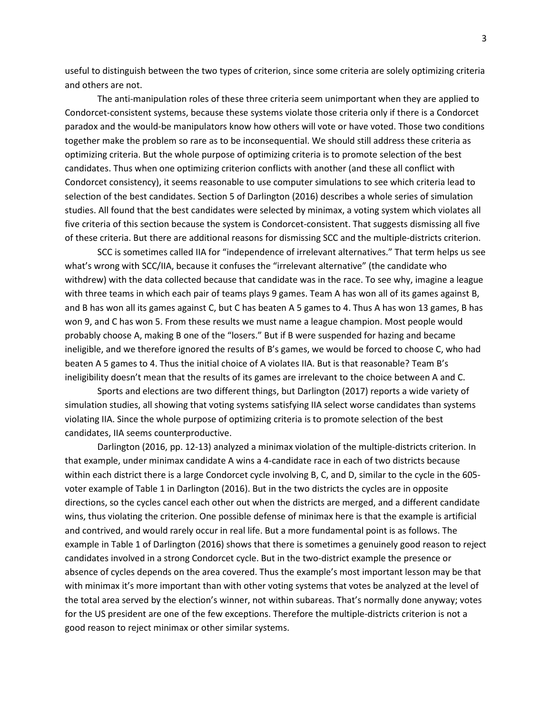useful to distinguish between the two types of criterion, since some criteria are solely optimizing criteria and others are not.

The anti-manipulation roles of these three criteria seem unimportant when they are applied to Condorcet-consistent systems, because these systems violate those criteria only if there is a Condorcet paradox and the would-be manipulators know how others will vote or have voted. Those two conditions together make the problem so rare as to be inconsequential. We should still address these criteria as optimizing criteria. But the whole purpose of optimizing criteria is to promote selection of the best candidates. Thus when one optimizing criterion conflicts with another (and these all conflict with Condorcet consistency), it seems reasonable to use computer simulations to see which criteria lead to selection of the best candidates. Section 5 of Darlington (2016) describes a whole series of simulation studies. All found that the best candidates were selected by minimax, a voting system which violates all five criteria of this section because the system is Condorcet-consistent. That suggests dismissing all five of these criteria. But there are additional reasons for dismissing SCC and the multiple-districts criterion.

SCC is sometimes called IIA for "independence of irrelevant alternatives." That term helps us see what's wrong with SCC/IIA, because it confuses the "irrelevant alternative" (the candidate who withdrew) with the data collected because that candidate was in the race. To see why, imagine a league with three teams in which each pair of teams plays 9 games. Team A has won all of its games against B, and B has won all its games against C, but C has beaten A 5 games to 4. Thus A has won 13 games, B has won 9, and C has won 5. From these results we must name a league champion. Most people would probably choose A, making B one of the "losers." But if B were suspended for hazing and became ineligible, and we therefore ignored the results of B's games, we would be forced to choose C, who had beaten A 5 games to 4. Thus the initial choice of A violates IIA. But is that reasonable? Team B's ineligibility doesn't mean that the results of its games are irrelevant to the choice between A and C.

Sports and elections are two different things, but Darlington (2017) reports a wide variety of simulation studies, all showing that voting systems satisfying IIA select worse candidates than systems violating IIA. Since the whole purpose of optimizing criteria is to promote selection of the best candidates, IIA seems counterproductive.

Darlington (2016, pp. 12-13) analyzed a minimax violation of the multiple-districts criterion. In that example, under minimax candidate A wins a 4-candidate race in each of two districts because within each district there is a large Condorcet cycle involving B, C, and D, similar to the cycle in the 605 voter example of Table 1 in Darlington (2016). But in the two districts the cycles are in opposite directions, so the cycles cancel each other out when the districts are merged, and a different candidate wins, thus violating the criterion. One possible defense of minimax here is that the example is artificial and contrived, and would rarely occur in real life. But a more fundamental point is as follows. The example in Table 1 of Darlington (2016) shows that there is sometimes a genuinely good reason to reject candidates involved in a strong Condorcet cycle. But in the two-district example the presence or absence of cycles depends on the area covered. Thus the example's most important lesson may be that with minimax it's more important than with other voting systems that votes be analyzed at the level of the total area served by the election's winner, not within subareas. That's normally done anyway; votes for the US president are one of the few exceptions. Therefore the multiple-districts criterion is not a good reason to reject minimax or other similar systems.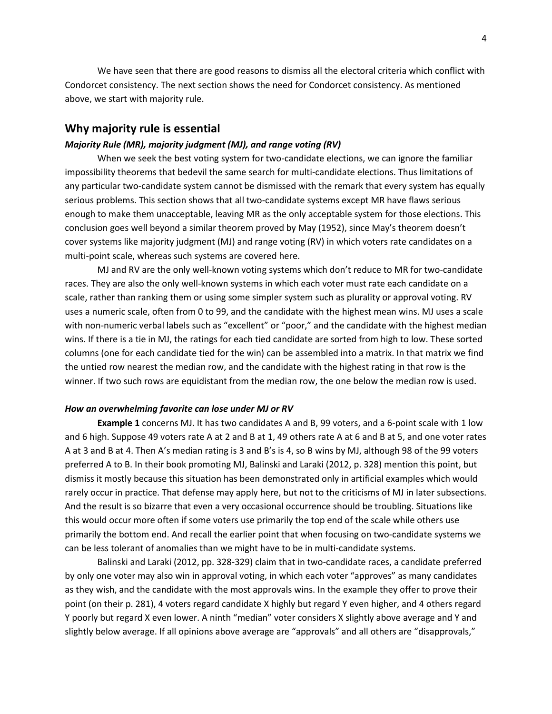We have seen that there are good reasons to dismiss all the electoral criteria which conflict with Condorcet consistency. The next section shows the need for Condorcet consistency. As mentioned above, we start with majority rule.

## **Why majority rule is essential**

#### *Majority Rule (MR), majority judgment (MJ), and range voting (RV)*

When we seek the best voting system for two-candidate elections, we can ignore the familiar impossibility theorems that bedevil the same search for multi-candidate elections. Thus limitations of any particular two-candidate system cannot be dismissed with the remark that every system has equally serious problems. This section shows that all two-candidate systems except MR have flaws serious enough to make them unacceptable, leaving MR as the only acceptable system for those elections. This conclusion goes well beyond a similar theorem proved by May (1952), since May's theorem doesn't cover systems like majority judgment (MJ) and range voting (RV) in which voters rate candidates on a multi-point scale, whereas such systems are covered here.

MJ and RV are the only well-known voting systems which don't reduce to MR for two-candidate races. They are also the only well-known systems in which each voter must rate each candidate on a scale, rather than ranking them or using some simpler system such as plurality or approval voting. RV uses a numeric scale, often from 0 to 99, and the candidate with the highest mean wins. MJ uses a scale with non-numeric verbal labels such as "excellent" or "poor," and the candidate with the highest median wins. If there is a tie in MJ, the ratings for each tied candidate are sorted from high to low. These sorted columns (one for each candidate tied for the win) can be assembled into a matrix. In that matrix we find the untied row nearest the median row, and the candidate with the highest rating in that row is the winner. If two such rows are equidistant from the median row, the one below the median row is used.

#### *How an overwhelming favorite can lose under MJ or RV*

**Example 1** concerns MJ. It has two candidates A and B, 99 voters, and a 6-point scale with 1 low and 6 high. Suppose 49 voters rate A at 2 and B at 1, 49 others rate A at 6 and B at 5, and one voter rates A at 3 and B at 4. Then A's median rating is 3 and B's is 4, so B wins by MJ, although 98 of the 99 voters preferred A to B. In their book promoting MJ, Balinski and Laraki (2012, p. 328) mention this point, but dismiss it mostly because this situation has been demonstrated only in artificial examples which would rarely occur in practice. That defense may apply here, but not to the criticisms of MJ in later subsections. And the result is so bizarre that even a very occasional occurrence should be troubling. Situations like this would occur more often if some voters use primarily the top end of the scale while others use primarily the bottom end. And recall the earlier point that when focusing on two-candidate systems we can be less tolerant of anomalies than we might have to be in multi-candidate systems.

 Balinski and Laraki (2012, pp. 328-329) claim that in two-candidate races, a candidate preferred by only one voter may also win in approval voting, in which each voter "approves" as many candidates as they wish, and the candidate with the most approvals wins. In the example they offer to prove their point (on their p. 281), 4 voters regard candidate X highly but regard Y even higher, and 4 others regard Y poorly but regard X even lower. A ninth "median" voter considers X slightly above average and Y and slightly below average. If all opinions above average are "approvals" and all others are "disapprovals,"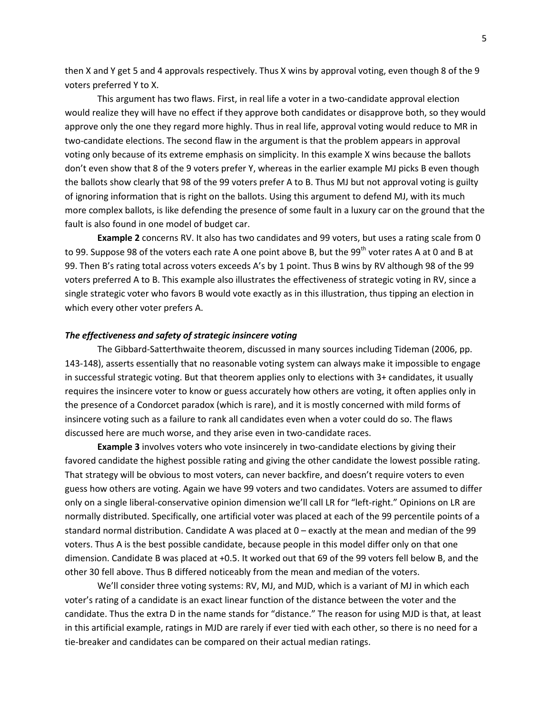then X and Y get 5 and 4 approvals respectively. Thus X wins by approval voting, even though 8 of the 9 voters preferred Y to X.

 This argument has two flaws. First, in real life a voter in a two-candidate approval election would realize they will have no effect if they approve both candidates or disapprove both, so they would approve only the one they regard more highly. Thus in real life, approval voting would reduce to MR in two-candidate elections. The second flaw in the argument is that the problem appears in approval voting only because of its extreme emphasis on simplicity. In this example X wins because the ballots don't even show that 8 of the 9 voters prefer Y, whereas in the earlier example MJ picks B even though the ballots show clearly that 98 of the 99 voters prefer A to B. Thus MJ but not approval voting is guilty of ignoring information that is right on the ballots. Using this argument to defend MJ, with its much more complex ballots, is like defending the presence of some fault in a luxury car on the ground that the fault is also found in one model of budget car.

**Example 2** concerns RV. It also has two candidates and 99 voters, but uses a rating scale from 0 to 99. Suppose 98 of the voters each rate A one point above B, but the 99<sup>th</sup> voter rates A at 0 and B at 99. Then B's rating total across voters exceeds A's by 1 point. Thus B wins by RV although 98 of the 99 voters preferred A to B. This example also illustrates the effectiveness of strategic voting in RV, since a single strategic voter who favors B would vote exactly as in this illustration, thus tipping an election in which every other voter prefers A.

#### *The effectiveness and safety of strategic insincere voting*

The Gibbard-Satterthwaite theorem, discussed in many sources including Tideman (2006, pp. 143-148), asserts essentially that no reasonable voting system can always make it impossible to engage in successful strategic voting. But that theorem applies only to elections with 3+ candidates, it usually requires the insincere voter to know or guess accurately how others are voting, it often applies only in the presence of a Condorcet paradox (which is rare), and it is mostly concerned with mild forms of insincere voting such as a failure to rank all candidates even when a voter could do so. The flaws discussed here are much worse, and they arise even in two-candidate races.

**Example 3** involves voters who vote insincerely in two-candidate elections by giving their favored candidate the highest possible rating and giving the other candidate the lowest possible rating. That strategy will be obvious to most voters, can never backfire, and doesn't require voters to even guess how others are voting. Again we have 99 voters and two candidates. Voters are assumed to differ only on a single liberal-conservative opinion dimension we'll call LR for "left-right." Opinions on LR are normally distributed. Specifically, one artificial voter was placed at each of the 99 percentile points of a standard normal distribution. Candidate A was placed at 0 – exactly at the mean and median of the 99 voters. Thus A is the best possible candidate, because people in this model differ only on that one dimension. Candidate B was placed at +0.5. It worked out that 69 of the 99 voters fell below B, and the other 30 fell above. Thus B differed noticeably from the mean and median of the voters.

We'll consider three voting systems: RV, MJ, and MJD, which is a variant of MJ in which each voter's rating of a candidate is an exact linear function of the distance between the voter and the candidate. Thus the extra D in the name stands for "distance." The reason for using MJD is that, at least in this artificial example, ratings in MJD are rarely if ever tied with each other, so there is no need for a tie-breaker and candidates can be compared on their actual median ratings.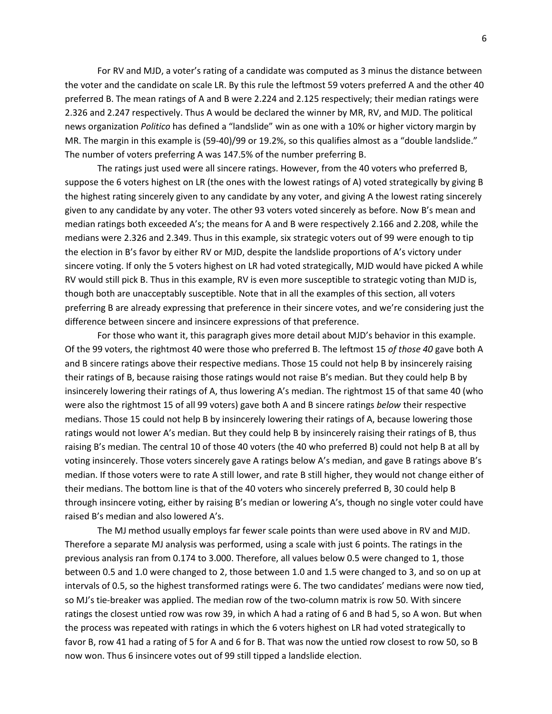For RV and MJD, a voter's rating of a candidate was computed as 3 minus the distance between the voter and the candidate on scale LR. By this rule the leftmost 59 voters preferred A and the other 40 preferred B. The mean ratings of A and B were 2.224 and 2.125 respectively; their median ratings were 2.326 and 2.247 respectively. Thus A would be declared the winner by MR, RV, and MJD. The political news organization *Politico* has defined a "landslide" win as one with a 10% or higher victory margin by MR. The margin in this example is (59-40)/99 or 19.2%, so this qualifies almost as a "double landslide." The number of voters preferring A was 147.5% of the number preferring B.

 The ratings just used were all sincere ratings. However, from the 40 voters who preferred B, suppose the 6 voters highest on LR (the ones with the lowest ratings of A) voted strategically by giving B the highest rating sincerely given to any candidate by any voter, and giving A the lowest rating sincerely given to any candidate by any voter. The other 93 voters voted sincerely as before. Now B's mean and median ratings both exceeded A's; the means for A and B were respectively 2.166 and 2.208, while the medians were 2.326 and 2.349. Thus in this example, six strategic voters out of 99 were enough to tip the election in B's favor by either RV or MJD, despite the landslide proportions of A's victory under sincere voting. If only the 5 voters highest on LR had voted strategically, MJD would have picked A while RV would still pick B. Thus in this example, RV is even more susceptible to strategic voting than MJD is, though both are unacceptably susceptible. Note that in all the examples of this section, all voters preferring B are already expressing that preference in their sincere votes, and we're considering just the difference between sincere and insincere expressions of that preference.

 For those who want it, this paragraph gives more detail about MJD's behavior in this example. Of the 99 voters, the rightmost 40 were those who preferred B. The leftmost 15 *of those 40* gave both A and B sincere ratings above their respective medians. Those 15 could not help B by insincerely raising their ratings of B, because raising those ratings would not raise B's median. But they could help B by insincerely lowering their ratings of A, thus lowering A's median. The rightmost 15 of that same 40 (who were also the rightmost 15 of all 99 voters) gave both A and B sincere ratings *below* their respective medians. Those 15 could not help B by insincerely lowering their ratings of A, because lowering those ratings would not lower A's median. But they could help B by insincerely raising their ratings of B, thus raising B's median. The central 10 of those 40 voters (the 40 who preferred B) could not help B at all by voting insincerely. Those voters sincerely gave A ratings below A's median, and gave B ratings above B's median. If those voters were to rate A still lower, and rate B still higher, they would not change either of their medians. The bottom line is that of the 40 voters who sincerely preferred B, 30 could help B through insincere voting, either by raising B's median or lowering A's, though no single voter could have raised B's median and also lowered A's.

 The MJ method usually employs far fewer scale points than were used above in RV and MJD. Therefore a separate MJ analysis was performed, using a scale with just 6 points. The ratings in the previous analysis ran from 0.174 to 3.000. Therefore, all values below 0.5 were changed to 1, those between 0.5 and 1.0 were changed to 2, those between 1.0 and 1.5 were changed to 3, and so on up at intervals of 0.5, so the highest transformed ratings were 6. The two candidates' medians were now tied, so MJ's tie-breaker was applied. The median row of the two-column matrix is row 50. With sincere ratings the closest untied row was row 39, in which A had a rating of 6 and B had 5, so A won. But when the process was repeated with ratings in which the 6 voters highest on LR had voted strategically to favor B, row 41 had a rating of 5 for A and 6 for B. That was now the untied row closest to row 50, so B now won. Thus 6 insincere votes out of 99 still tipped a landslide election.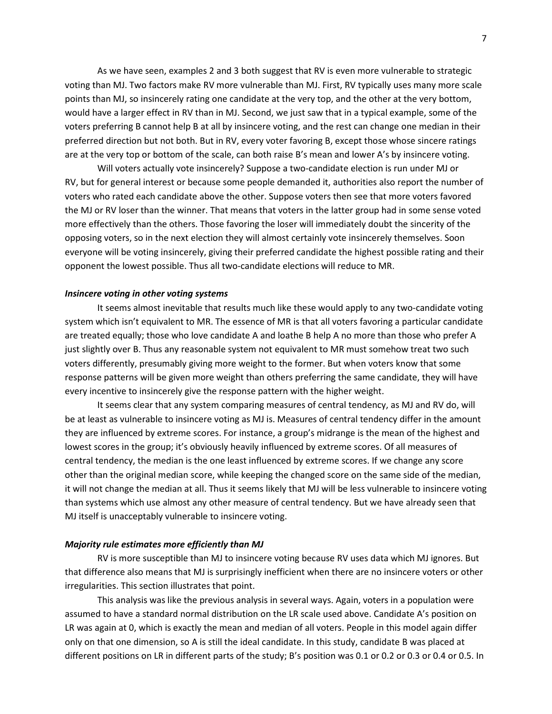As we have seen, examples 2 and 3 both suggest that RV is even more vulnerable to strategic voting than MJ. Two factors make RV more vulnerable than MJ. First, RV typically uses many more scale points than MJ, so insincerely rating one candidate at the very top, and the other at the very bottom, would have a larger effect in RV than in MJ. Second, we just saw that in a typical example, some of the voters preferring B cannot help B at all by insincere voting, and the rest can change one median in their preferred direction but not both. But in RV, every voter favoring B, except those whose sincere ratings are at the very top or bottom of the scale, can both raise B's mean and lower A's by insincere voting.

 Will voters actually vote insincerely? Suppose a two-candidate election is run under MJ or RV, but for general interest or because some people demanded it, authorities also report the number of voters who rated each candidate above the other. Suppose voters then see that more voters favored the MJ or RV loser than the winner. That means that voters in the latter group had in some sense voted more effectively than the others. Those favoring the loser will immediately doubt the sincerity of the opposing voters, so in the next election they will almost certainly vote insincerely themselves. Soon everyone will be voting insincerely, giving their preferred candidate the highest possible rating and their opponent the lowest possible. Thus all two-candidate elections will reduce to MR.

## *Insincere voting in other voting systems*

 It seems almost inevitable that results much like these would apply to any two-candidate voting system which isn't equivalent to MR. The essence of MR is that all voters favoring a particular candidate are treated equally; those who love candidate A and loathe B help A no more than those who prefer A just slightly over B. Thus any reasonable system not equivalent to MR must somehow treat two such voters differently, presumably giving more weight to the former. But when voters know that some response patterns will be given more weight than others preferring the same candidate, they will have every incentive to insincerely give the response pattern with the higher weight.

 It seems clear that any system comparing measures of central tendency, as MJ and RV do, will be at least as vulnerable to insincere voting as MJ is. Measures of central tendency differ in the amount they are influenced by extreme scores. For instance, a group's midrange is the mean of the highest and lowest scores in the group; it's obviously heavily influenced by extreme scores. Of all measures of central tendency, the median is the one least influenced by extreme scores. If we change any score other than the original median score, while keeping the changed score on the same side of the median, it will not change the median at all. Thus it seems likely that MJ will be less vulnerable to insincere voting than systems which use almost any other measure of central tendency. But we have already seen that MJ itself is unacceptably vulnerable to insincere voting.

### *Majority rule estimates more efficiently than MJ*

 RV is more susceptible than MJ to insincere voting because RV uses data which MJ ignores. But that difference also means that MJ is surprisingly inefficient when there are no insincere voters or other irregularities. This section illustrates that point.

 This analysis was like the previous analysis in several ways. Again, voters in a population were assumed to have a standard normal distribution on the LR scale used above. Candidate A's position on LR was again at 0, which is exactly the mean and median of all voters. People in this model again differ only on that one dimension, so A is still the ideal candidate. In this study, candidate B was placed at different positions on LR in different parts of the study; B's position was 0.1 or 0.2 or 0.3 or 0.4 or 0.5. In